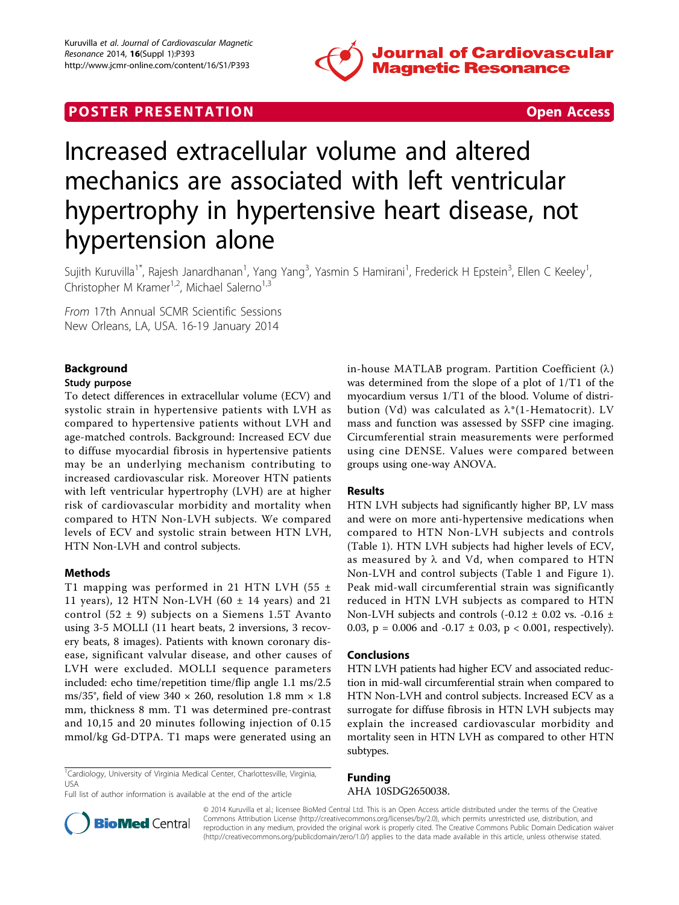

# **POSTER PRESENTATION CONSUMING THE SECOND CONSUMING THE SECOND CONSUMING THE SECOND CONSUMING THE SECOND CONSUMING THE SECOND CONSUMING THE SECOND CONSUMING THE SECOND CONSUMING THE SECOND CONSUMING THE SECOND CONSUMING**



# Increased extracellular volume and altered mechanics are associated with left ventricular hypertrophy in hypertensive heart disease, not hypertension alone

Sujith Kuruvilla<sup>1\*</sup>, Rajesh Janardhanan<sup>1</sup>, Yang Yang<sup>3</sup>, Yasmin S Hamirani<sup>1</sup>, Frederick H Epstein<sup>3</sup>, Ellen C Keeley<sup>1</sup> , Christopher M Kramer<sup>1,2</sup>, Michael Salerno<sup>1,3</sup>

From 17th Annual SCMR Scientific Sessions New Orleans, LA, USA. 16-19 January 2014

# Background

#### Study purpose

To detect differences in extracellular volume (ECV) and systolic strain in hypertensive patients with LVH as compared to hypertensive patients without LVH and age-matched controls. Background: Increased ECV due to diffuse myocardial fibrosis in hypertensive patients may be an underlying mechanism contributing to increased cardiovascular risk. Moreover HTN patients with left ventricular hypertrophy (LVH) are at higher risk of cardiovascular morbidity and mortality when compared to HTN Non-LVH subjects. We compared levels of ECV and systolic strain between HTN LVH, HTN Non-LVH and control subjects.

## Methods

T1 mapping was performed in 21 HTN LVH (55  $\pm$ 11 years), 12 HTN Non-LVH (60  $\pm$  14 years) and 21 control  $(52 \pm 9)$  subjects on a Siemens 1.5T Avanto using 3-5 MOLLI (11 heart beats, 2 inversions, 3 recovery beats, 8 images). Patients with known coronary disease, significant valvular disease, and other causes of LVH were excluded. MOLLI sequence parameters included: echo time/repetition time/flip angle 1.1 ms/2.5 ms/35°, field of view 340  $\times$  260, resolution 1.8 mm  $\times$  1.8 mm, thickness 8 mm. T1 was determined pre-contrast and 10,15 and 20 minutes following injection of 0.15 mmol/kg Gd-DTPA. T1 maps were generated using an

<sup>1</sup>Cardiology, University of Virginia Medical Center, Charlottesville, Virginia, USA Full list of author information is available at the end of the article

in-house MATLAB program. Partition Coefficient  $(\lambda)$ was determined from the slope of a plot of 1/T1 of the myocardium versus 1/T1 of the blood. Volume of distribution (Vd) was calculated as  $\lambda^*(1$ -Hematocrit). LV mass and function was assessed by SSFP cine imaging. Circumferential strain measurements were performed using cine DENSE. Values were compared between groups using one-way ANOVA.

## Results

HTN LVH subjects had significantly higher BP, LV mass and were on more anti-hypertensive medications when compared to HTN Non-LVH subjects and controls (Table [1](#page-1-0)). HTN LVH subjects had higher levels of ECV, as measured by  $\lambda$  and Vd, when compared to HTN Non-LVH and control subjects (Table [1](#page-1-0) and Figure [1](#page-1-0)). Peak mid-wall circumferential strain was significantly reduced in HTN LVH subjects as compared to HTN Non-LVH subjects and controls (-0.12  $\pm$  0.02 vs. -0.16  $\pm$ 0.03,  $p = 0.006$  and  $-0.17 \pm 0.03$ ,  $p < 0.001$ , respectively).

#### Conclusions

HTN LVH patients had higher ECV and associated reduction in mid-wall circumferential strain when compared to HTN Non-LVH and control subjects. Increased ECV as a surrogate for diffuse fibrosis in HTN LVH subjects may explain the increased cardiovascular morbidity and mortality seen in HTN LVH as compared to other HTN subtypes.

**BioMed** Central

Funding AHA 10SDG2650038.

© 2014 Kuruvilla et al.; licensee BioMed Central Ltd. This is an Open Access article distributed under the terms of the Creative Commons Attribution License [\(http://creativecommons.org/licenses/by/2.0](http://creativecommons.org/licenses/by/2.0)), which permits unrestricted use, distribution, and reproduction in any medium, provided the original work is properly cited. The Creative Commons Public Domain Dedication waiver [\(http://creativecommons.org/publicdomain/zero/1.0/](http://creativecommons.org/publicdomain/zero/1.0/)) applies to the data made available in this article, unless otherwise stated.